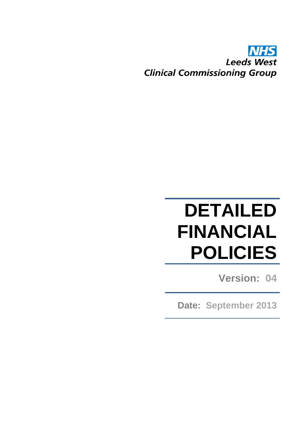# **Leeds West Clinical Commissioning Group**

# **DETAILED FINANCIAL POLICIES**

**Version: 04**

**Date: September 2013**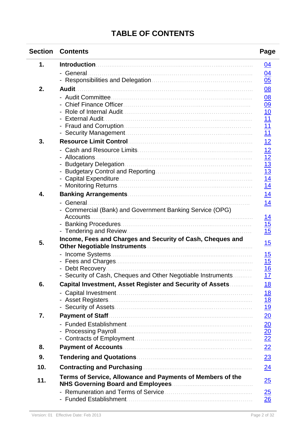# **TABLE OF CONTENTS**

| <b>Section</b> | <b>Contents</b>                                              | Page                                            |
|----------------|--------------------------------------------------------------|-------------------------------------------------|
| 1.             |                                                              | <u>04</u>                                       |
|                | - General                                                    |                                                 |
|                |                                                              | $\frac{04}{05}$                                 |
| 2.             | <b>Audit</b>                                                 | <u>08</u>                                       |
|                |                                                              |                                                 |
|                |                                                              |                                                 |
|                |                                                              | $\frac{08}{09}$ $\frac{10}{11}$ $\frac{11}{11}$ |
|                | <b>External Audit</b>                                        |                                                 |
|                |                                                              |                                                 |
| 3.             |                                                              | 12                                              |
|                |                                                              |                                                 |
|                | - Allocations.                                               |                                                 |
|                |                                                              |                                                 |
|                |                                                              |                                                 |
|                |                                                              | $\frac{12}{12}$ $\frac{13}{13}$ $\frac{14}{14}$ |
|                |                                                              |                                                 |
| 4.             |                                                              | 14                                              |
|                | - General.                                                   | 14                                              |
|                | - Commercial (Bank) and Government Banking Service (OPG)     |                                                 |
|                | Accounts.                                                    | <u> 14</u>                                      |
|                |                                                              | $\frac{15}{15}$                                 |
|                | Income, Fees and Charges and Security of Cash, Cheques and   |                                                 |
| 5.             |                                                              | 15                                              |
|                |                                                              | <u> 15</u>                                      |
|                |                                                              | 15                                              |
|                |                                                              | 16                                              |
|                | - Security of Cash, Cheques and Other Negotiable Instruments | <u> 17</u>                                      |
| 6.             | Capital Investment, Asset Register and Security of Assets    | <u> 18</u>                                      |
|                |                                                              | <u> 18</u>                                      |
|                |                                                              | $\frac{18}{19}$                                 |
|                |                                                              |                                                 |
| 7.             | <b>Payment of Staff.</b>                                     | $\overline{20}$                                 |
|                |                                                              | $\frac{20}{20}$<br>$\frac{22}{22}$              |
|                | <b>Processing Payroll</b>                                    |                                                 |
| 8.             |                                                              |                                                 |
|                |                                                              | 22                                              |
| 9.             |                                                              | 23                                              |
| 10.            | <b>Contracting and Purchasing</b>                            | $\overline{24}$                                 |
| 11.            | Terms of Service, Allowance and Payments of Members of the   | 25                                              |
|                |                                                              | $\frac{25}{5}$                                  |
|                |                                                              | 26                                              |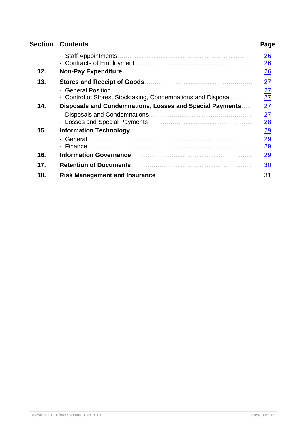| <b>Section</b> | <b>Contents</b>                                              | Page                              |
|----------------|--------------------------------------------------------------|-----------------------------------|
|                | - Staff Appointments                                         | $\overline{26}$<br>$\frac{26}{5}$ |
| 12.            | <b>Non-Pay Expenditure</b>                                   | 26                                |
| 13.            | <b>Stores and Receipt of Goods.</b>                          | 27                                |
|                | - General Position                                           |                                   |
|                | - Control of Stores, Stocktaking, Condemnations and Disposal | $\frac{27}{27}$                   |
| 14.            | Disposals and Condemnations, Losses and Special Payments     | 27                                |
|                | - Disposals and Condemnations.                               | $\frac{27}{28}$                   |
| 15.            |                                                              | 29                                |
|                | - Finance.                                                   | $\frac{29}{29}$                   |
| 16.            | <b>Information Governance.</b>                               | 29                                |
| 17.            | <b>Retention of Documents</b>                                | 30                                |
| 18.            | <b>Risk Management and Insurance</b>                         | 31                                |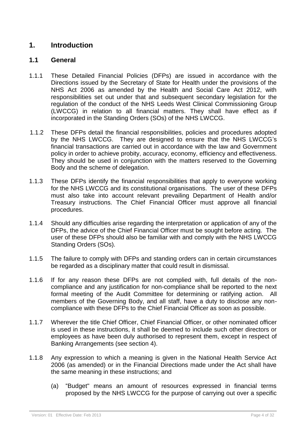# <span id="page-3-0"></span>**1. Introduction**

# **1.1 General**

- 1.1.1 These Detailed Financial Policies (DFPs) are issued in accordance with the Directions issued by the Secretary of State for Health under the provisions of the NHS Act 2006 as amended by the Health and Social Care Act 2012, with responsibilities set out under that and subsequent secondary legislation for the regulation of the conduct of the NHS Leeds West Clinical Commissioning Group (LWCCG) in relation to all financial matters. They shall have effect as if incorporated in the Standing Orders (SOs) of the NHS LWCCG.
- 1.1.2 These DFPs detail the financial responsibilities, policies and procedures adopted by the NHS LWCCG. They are designed to ensure that the NHS LWCCG's financial transactions are carried out in accordance with the law and Government policy in order to achieve probity, accuracy, economy, efficiency and effectiveness. They should be used in conjunction with the matters reserved to the Governing Body and the scheme of delegation.
- 1.1.3 These DFPs identify the financial responsibilities that apply to everyone working for the NHS LWCCG and its constitutional organisations. The user of these DFPs must also take into account relevant prevailing Department of Health and/or Treasury instructions. The Chief Financial Officer must approve all financial procedures.
- 1.1.4 Should any difficulties arise regarding the interpretation or application of any of the DFPs, the advice of the Chief Financial Officer must be sought before acting. The user of these DFPs should also be familiar with and comply with the NHS LWCCG Standing Orders (SOs).
- 1.1.5 The failure to comply with DFPs and standing orders can in certain circumstances be regarded as a disciplinary matter that could result in dismissal.
- 1.1.6 If for any reason these DFPs are not complied with, full details of the noncompliance and any justification for non-compliance shall be reported to the next formal meeting of the Audit Committee for determining or ratifying action. All members of the Governing Body, and all staff, have a duty to disclose any noncompliance with these DFPs to the Chief Financial Officer as soon as possible.
- 1.1.7 Wherever the title Chief Officer, Chief Financial Officer, or other nominated officer is used in these instructions, it shall be deemed to include such other directors or employees as have been duly authorised to represent them, except in respect of Banking Arrangements (see section 4).
- 1.1.8 Any expression to which a meaning is given in the National Health Service Act 2006 (as amended) or in the Financial Directions made under the Act shall have the same meaning in these instructions; and
	- (a) "Budget" means an amount of resources expressed in financial terms proposed by the NHS LWCCG for the purpose of carrying out over a specific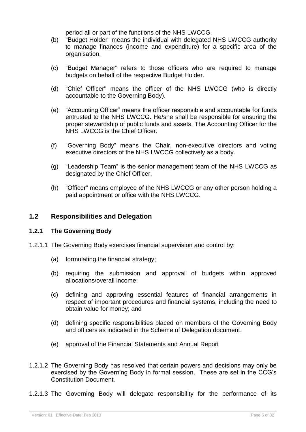period all or part of the functions of the NHS LWCCG.

- (b) "Budget Holder" means the individual with delegated NHS LWCCG authority to manage finances (income and expenditure) for a specific area of the organisation.
- (c) "Budget Manager" refers to those officers who are required to manage budgets on behalf of the respective Budget Holder.
- (d) "Chief Officer" means the officer of the NHS LWCCG (who is directly accountable to the Governing Body).
- (e) "Accounting Officer" means the officer responsible and accountable for funds entrusted to the NHS LWCCG. He/she shall be responsible for ensuring the proper stewardship of public funds and assets. The Accounting Officer for the NHS LWCCG is the Chief Officer.
- (f) "Governing Body" means the Chair, non-executive directors and voting executive directors of the NHS LWCCG collectively as a body.
- (g) "Leadership Team" is the senior management team of the NHS LWCCG as designated by the Chief Officer.
- <span id="page-4-0"></span>(h) "Officer" means employee of the NHS LWCCG or any other person holding a paid appointment or office with the NHS LWCCG.

#### **1.2 Responsibilities and Delegation**

#### **1.2.1 The Governing Body**

- 1.2.1.1 The Governing Body exercises financial supervision and control by:
	- (a) formulating the financial strategy;
	- (b) requiring the submission and approval of budgets within approved allocations/overall income;
	- (c) defining and approving essential features of financial arrangements in respect of important procedures and financial systems, including the need to obtain value for money; and
	- (d) defining specific responsibilities placed on members of the Governing Body and officers as indicated in the Scheme of Delegation document.
	- (e) approval of the Financial Statements and Annual Report
- 1.2.1.2 The Governing Body has resolved that certain powers and decisions may only be exercised by the Governing Body in formal session. These are set in the CCG's Constitution Document.
- 1.2.1.3 The Governing Body will delegate responsibility for the performance of its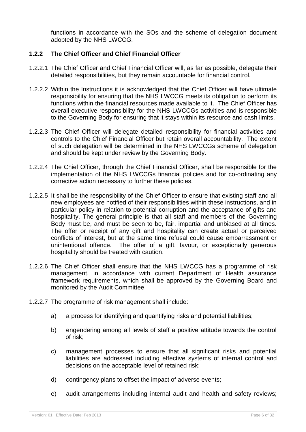functions in accordance with the SOs and the scheme of delegation document adopted by the NHS LWCCG.

#### **1.2.2 The Chief Officer and Chief Financial Officer**

- 1.2.2.1 The Chief Officer and Chief Financial Officer will, as far as possible, delegate their detailed responsibilities, but they remain accountable for financial control.
- 1.2.2.2 Within the Instructions it is acknowledged that the Chief Officer will have ultimate responsibility for ensuring that the NHS LWCCG meets its obligation to perform its functions within the financial resources made available to it. The Chief Officer has overall executive responsibility for the NHS LWCCGs activities and is responsible to the Governing Body for ensuring that it stays within its resource and cash limits.
- 1.2.2.3 The Chief Officer will delegate detailed responsibility for financial activities and controls to the Chief Financial Officer but retain overall accountability. The extent of such delegation will be determined in the NHS LWCCGs scheme of delegation and should be kept under review by the Governing Body.
- 1.2.2.4 The Chief Officer, through the Chief Financial Officer, shall be responsible for the implementation of the NHS LWCCGs financial policies and for co-ordinating any corrective action necessary to further these policies.
- 1.2.2.5 It shall be the responsibility of the Chief Officer to ensure that existing staff and all new employees are notified of their responsibilities within these instructions, and in particular policy in relation to potential corruption and the acceptance of gifts and hospitality. The general principle is that all staff and members of the Governing Body must be, and must be seen to be, fair, impartial and unbiased at all times. The offer or receipt of any gift and hospitality can create actual or perceived conflicts of interest, but at the same time refusal could cause embarrassment or unintentional offence. The offer of a gift, favour, or exceptionally generous hospitality should be treated with caution.
- 1.2.2.6 The Chief Officer shall ensure that the NHS LWCCG has a programme of risk management, in accordance with current Department of Health assurance framework requirements, which shall be approved by the Governing Board and monitored by the Audit Committee.
- 1.2.2.7 The programme of risk management shall include:
	- a) a process for identifying and quantifying risks and potential liabilities;
	- b) engendering among all levels of staff a positive attitude towards the control of risk;
	- c) management processes to ensure that all significant risks and potential liabilities are addressed including effective systems of internal control and decisions on the acceptable level of retained risk;
	- d) contingency plans to offset the impact of adverse events;
	- e) audit arrangements including internal audit and health and safety reviews;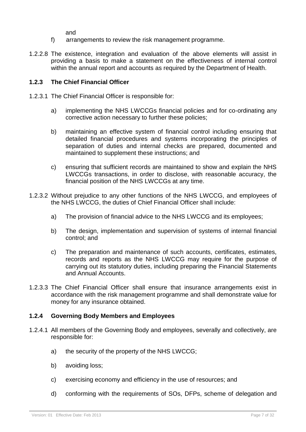and

- f) arrangements to review the risk management programme.
- 1.2.2.8 The existence, integration and evaluation of the above elements will assist in providing a basis to make a statement on the effectiveness of internal control within the annual report and accounts as required by the Department of Health.

#### **1.2.3 The Chief Financial Officer**

- 1.2.3.1 The Chief Financial Officer is responsible for:
	- a) implementing the NHS LWCCGs financial policies and for co-ordinating any corrective action necessary to further these policies;
	- b) maintaining an effective system of financial control including ensuring that detailed financial procedures and systems incorporating the principles of separation of duties and internal checks are prepared, documented and maintained to supplement these instructions; and
	- c) ensuring that sufficient records are maintained to show and explain the NHS LWCCGs transactions, in order to disclose, with reasonable accuracy, the financial position of the NHS LWCCGs at any time.
- 1.2.3.2 Without prejudice to any other functions of the NHS LWCCG, and employees of the NHS LWCCG, the duties of Chief Financial Officer shall include:
	- a) The provision of financial advice to the NHS LWCCG and its employees;
	- b) The design, implementation and supervision of systems of internal financial control; and
	- c) The preparation and maintenance of such accounts, certificates, estimates, records and reports as the NHS LWCCG may require for the purpose of carrying out its statutory duties, including preparing the Financial Statements and Annual Accounts.
- 1.2.3.3 The Chief Financial Officer shall ensure that insurance arrangements exist in accordance with the risk management programme and shall demonstrate value for money for any insurance obtained.

#### **1.2.4 Governing Body Members and Employees**

- 1.2.4.1 All members of the Governing Body and employees, severally and collectively, are responsible for:
	- a) the security of the property of the NHS LWCCG;
	- b) avoiding loss;
	- c) exercising economy and efficiency in the use of resources; and
	- d) conforming with the requirements of SOs, DFPs, scheme of delegation and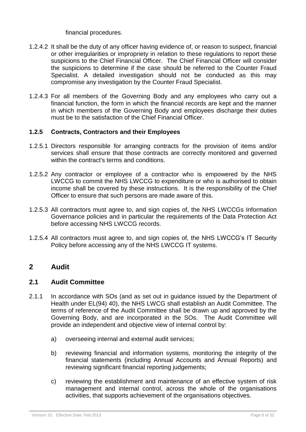financial procedures.

- 1.2.4.2 It shall be the duty of any officer having evidence of, or reason to suspect, financial or other irregularities or impropriety in relation to these regulations to report these suspicions to the Chief Financial Officer. The Chief Financial Officer will consider the suspicions to determine if the case should be referred to the Counter Fraud Specialist. A detailed investigation should not be conducted as this may compromise any investigation by the Counter Fraud Specialist.
- 1.2.4.3 For all members of the Governing Body and any employees who carry out a financial function, the form in which the financial records are kept and the manner in which members of the Governing Body and employees discharge their duties must be to the satisfaction of the Chief Financial Officer.

#### **1.2.5 Contracts, Contractors and their Employees**

- 1.2.5.1 Directors responsible for arranging contracts for the provision of items and/or services shall ensure that those contracts are correctly monitored and governed within the contract's terms and conditions.
- 1.2.5.2 Any contractor or employee of a contractor who is empowered by the NHS LWCCG to commit the NHS LWCCG to expenditure or who is authorised to obtain income shall be covered by these instructions. It is the responsibility of the Chief Officer to ensure that such persons are made aware of this.
- 1.2.5.3 All contractors must agree to, and sign copies of, the NHS LWCCGs Information Governance policies and in particular the requirements of the Data Protection Act before accessing NHS LWCCG records.
- <span id="page-7-0"></span>1.2.5.4 All contractors must agree to, and sign copies of, the NHS LWCCG's IT Security Policy before accessing any of the NHS LWCCG IT systems.

# <span id="page-7-1"></span>**2 Audit**

#### **2.1 Audit Committee**

- 2.1.1 In accordance with SOs (and as set out in guidance issued by the Department of Health under EL(94) 40), the NHS LWCG shall establish an Audit Committee. The terms of reference of the Audit Committee shall be drawn up and approved by the Governing Body, and are incorporated in the SOs. The Audit Committee will provide an independent and objective view of internal control by:
	- a) overseeing internal and external audit services;
	- b) reviewing financial and information systems, monitoring the integrity of the financial statements (including Annual Accounts and Annual Reports) and reviewing significant financial reporting judgements;
	- c) reviewing the establishment and maintenance of an effective system of risk management and internal control, across the whole of the organisations activities, that supports achievement of the organisations objectives.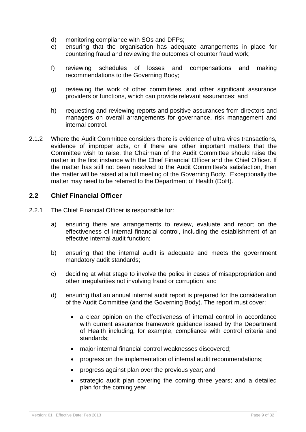- d) monitoring compliance with SOs and DFPs;
- e) ensuring that the organisation has adequate arrangements in place for countering fraud and reviewing the outcomes of counter fraud work;
- f) reviewing schedules of losses and compensations and making recommendations to the Governing Body;
- g) reviewing the work of other committees, and other significant assurance providers or functions, which can provide relevant assurances; and
- <span id="page-8-0"></span>h) requesting and reviewing reports and positive assurances from directors and managers on overall arrangements for governance, risk management and internal control.
- 2.1.2 Where the Audit Committee considers there is evidence of ultra vires transactions, evidence of improper acts, or if there are other important matters that the Committee wish to raise, the Chairman of the Audit Committee should raise the matter in the first instance with the Chief Financial Officer and the Chief Officer. If the matter has still not been resolved to the Audit Committee's satisfaction, then the matter will be raised at a full meeting of the Governing Body. Exceptionally the matter may need to be referred to the Department of Health (DoH).

#### **2.2 Chief Financial Officer**

- 2.2.1 The Chief Financial Officer is responsible for:
	- a) ensuring there are arrangements to review, evaluate and report on the effectiveness of internal financial control, including the establishment of an effective internal audit function;
	- b) ensuring that the internal audit is adequate and meets the government mandatory audit standards;
	- c) deciding at what stage to involve the police in cases of misappropriation and other irregularities not involving fraud or corruption; and
	- d) ensuring that an annual internal audit report is prepared for the consideration of the Audit Committee (and the Governing Body). The report must cover:
		- a clear opinion on the effectiveness of internal control in accordance with current assurance framework guidance issued by the Department of Health including, for example, compliance with control criteria and standards;
		- major internal financial control weaknesses discovered;
		- progress on the implementation of internal audit recommendations;
		- progress against plan over the previous year; and
		- strategic audit plan covering the coming three years; and a detailed plan for the coming year.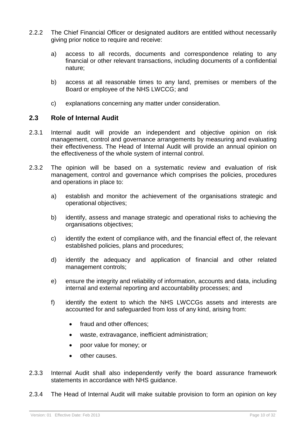- 2.2.2 The Chief Financial Officer or designated auditors are entitled without necessarily giving prior notice to require and receive:
	- a) access to all records, documents and correspondence relating to any financial or other relevant transactions, including documents of a confidential nature;
	- b) access at all reasonable times to any land, premises or members of the Board or employee of the NHS LWCCG; and
	- c) explanations concerning any matter under consideration.

#### <span id="page-9-0"></span>**2.3 Role of Internal Audit**

- 2.3.1 Internal audit will provide an independent and objective opinion on risk management, control and governance arrangements by measuring and evaluating their effectiveness. The Head of Internal Audit will provide an annual opinion on the effectiveness of the whole system of internal control.
- 2.3.2 The opinion will be based on a systematic review and evaluation of risk management, control and governance which comprises the policies, procedures and operations in place to:
	- a) establish and monitor the achievement of the organisations strategic and operational objectives;
	- b) identify, assess and manage strategic and operational risks to achieving the organisations objectives;
	- c) identify the extent of compliance with, and the financial effect of, the relevant established policies, plans and procedures;
	- d) identify the adequacy and application of financial and other related management controls;
	- e) ensure the integrity and reliability of information, accounts and data, including internal and external reporting and accountability processes; and
	- f) identify the extent to which the NHS LWCCGs assets and interests are accounted for and safeguarded from loss of any kind, arising from:
		- fraud and other offences:
		- waste, extravagance, inefficient administration;
		- poor value for money; or
		- other causes.
- 2.3.3 Internal Audit shall also independently verify the board assurance framework statements in accordance with NHS guidance.
- 2.3.4 The Head of Internal Audit will make suitable provision to form an opinion on key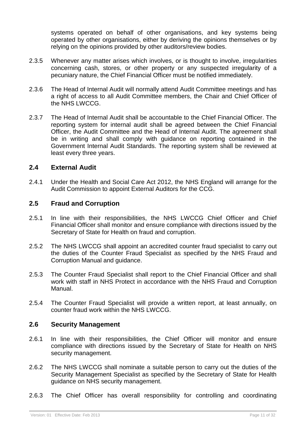systems operated on behalf of other organisations, and key systems being operated by other organisations, either by deriving the opinions themselves or by relying on the opinions provided by other auditors/review bodies.

- 2.3.5 Whenever any matter arises which involves, or is thought to involve, irregularities concerning cash, stores, or other property or any suspected irregularity of a pecuniary nature, the Chief Financial Officer must be notified immediately.
- 2.3.6 The Head of Internal Audit will normally attend Audit Committee meetings and has a right of access to all Audit Committee members, the Chair and Chief Officer of the NHS LWCCG.
- 2.3.7 The Head of Internal Audit shall be accountable to the Chief Financial Officer. The reporting system for internal audit shall be agreed between the Chief Financial Officer, the Audit Committee and the Head of Internal Audit. The agreement shall be in writing and shall comply with guidance on reporting contained in the Government Internal Audit Standards. The reporting system shall be reviewed at least every three years.

# <span id="page-10-0"></span>**2.4 External Audit**

<span id="page-10-1"></span>2.4.1 Under the Health and Social Care Act 2012, the NHS England will arrange for the Audit Commission to appoint External Auditors for the CCG.

#### **2.5 Fraud and Corruption**

- 2.5.1 In line with their responsibilities, the NHS LWCCG Chief Officer and Chief Financial Officer shall monitor and ensure compliance with directions issued by the Secretary of State for Health on fraud and corruption.
- 2.5.2 The NHS LWCCG shall appoint an accredited counter fraud specialist to carry out the duties of the Counter Fraud Specialist as specified by the NHS Fraud and Corruption Manual and guidance.
- 2.5.3 The Counter Fraud Specialist shall report to the Chief Financial Officer and shall work with staff in NHS Protect in accordance with the NHS Fraud and Corruption Manual.
- <span id="page-10-2"></span>2.5.4 The Counter Fraud Specialist will provide a written report, at least annually, on counter fraud work within the NHS LWCCG.

#### **2.6 Security Management**

- 2.6.1 In line with their responsibilities, the Chief Officer will monitor and ensure compliance with directions issued by the Secretary of State for Health on NHS security management.
- 2.6.2 The NHS LWCCG shall nominate a suitable person to carry out the duties of the Security Management Specialist as specified by the Secretary of State for Health guidance on NHS security management.
- 2.6.3 The Chief Officer has overall responsibility for controlling and coordinating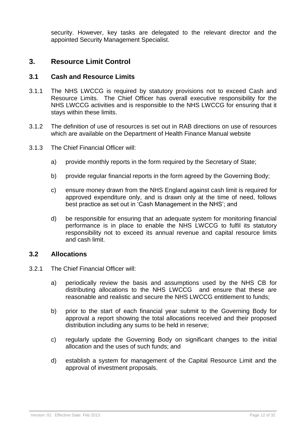<span id="page-11-1"></span>security. However, key tasks are delegated to the relevant director and the appointed Security Management Specialist.

# <span id="page-11-0"></span>**3. Resource Limit Control**

#### **3.1 Cash and Resource Limits**

- 3.1.1 The NHS LWCCG is required by statutory provisions not to exceed Cash and Resource Limits. The Chief Officer has overall executive responsibility for the NHS LWCCG activities and is responsible to the NHS LWCCG for ensuring that it stays within these limits.
- 3.1.2 The definition of use of resources is set out in RAB directions on use of resources which are available on the Department of Health Finance Manual website
- 3.1.3 The Chief Financial Officer will:
	- a) provide monthly reports in the form required by the Secretary of State:
	- b) provide regular financial reports in the form agreed by the Governing Body;
	- c) ensure money drawn from the NHS England against cash limit is required for approved expenditure only, and is drawn only at the time of need, follows best practice as set out in 'Cash Management in the NHS'; and
	- d) be responsible for ensuring that an adequate system for monitoring financial performance is in place to enable the NHS LWCCG to fulfil its statutory responsibility not to exceed its annual revenue and capital resource limits and cash limit.

#### <span id="page-11-2"></span>**3.2 Allocations**

- 3.2.1 The Chief Financial Officer will:
	- a) periodically review the basis and assumptions used by the NHS CB for distributing allocations to the NHS LWCCG and ensure that these are reasonable and realistic and secure the NHS LWCCG entitlement to funds;
	- b) prior to the start of each financial year submit to the Governing Body for approval a report showing the total allocations received and their proposed distribution including any sums to be held in reserve;
	- c) regularly update the Governing Body on significant changes to the initial allocation and the uses of such funds; and
	- d) establish a system for management of the Capital Resource Limit and the approval of investment proposals.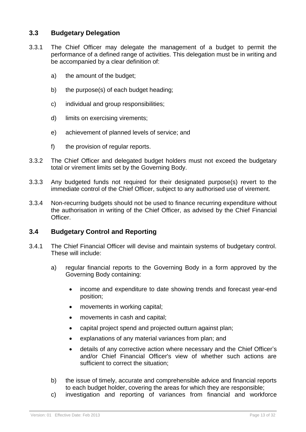# <span id="page-12-0"></span>**3.3 Budgetary Delegation**

- 3.3.1 The Chief Officer may delegate the management of a budget to permit the performance of a defined range of activities. This delegation must be in writing and be accompanied by a clear definition of:
	- a) the amount of the budget;
	- b) the purpose(s) of each budget heading;
	- c) individual and group responsibilities;
	- d) limits on exercising virements;
	- e) achievement of planned levels of service; and
	- f) the provision of regular reports.
- 3.3.2 The Chief Officer and delegated budget holders must not exceed the budgetary total or virement limits set by the Governing Body.
- 3.3.3 Any budgeted funds not required for their designated purpose(s) revert to the immediate control of the Chief Officer, subject to any authorised use of virement.
- <span id="page-12-1"></span>3.3.4 Non-recurring budgets should not be used to finance recurring expenditure without the authorisation in writing of the Chief Officer, as advised by the Chief Financial Officer.

# **3.4 Budgetary Control and Reporting**

- 3.4.1 The Chief Financial Officer will devise and maintain systems of budgetary control. These will include:
	- a) regular financial reports to the Governing Body in a form approved by the Governing Body containing:
		- income and expenditure to date showing trends and forecast year-end position;
		- movements in working capital;
		- movements in cash and capital;
		- capital project spend and projected outturn against plan;
		- explanations of any material variances from plan; and
		- details of any corrective action where necessary and the Chief Officer's and/or Chief Financial Officer's view of whether such actions are sufficient to correct the situation;
	- b) the issue of timely, accurate and comprehensible advice and financial reports to each budget holder, covering the areas for which they are responsible;
	- c) investigation and reporting of variances from financial and workforce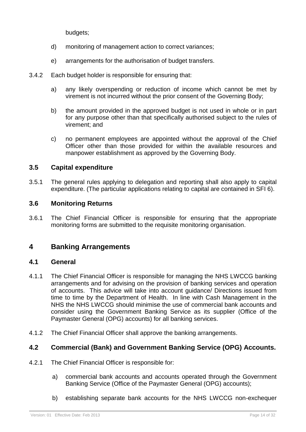budgets;

- d) monitoring of management action to correct variances;
- e) arrangements for the authorisation of budget transfers.
- 3.4.2 Each budget holder is responsible for ensuring that:
	- a) any likely overspending or reduction of income which cannot be met by virement is not incurred without the prior consent of the Governing Body;
	- b) the amount provided in the approved budget is not used in whole or in part for any purpose other than that specifically authorised subject to the rules of virement; and
	- c) no permanent employees are appointed without the approval of the Chief Officer other than those provided for within the available resources and manpower establishment as approved by the Governing Body.

# <span id="page-13-0"></span>**3.5 Capital expenditure**

3.5.1 The general rules applying to delegation and reporting shall also apply to capital expenditure. (The particular applications relating to capital are contained in SFI 6).

# <span id="page-13-1"></span>**3.6 Monitoring Returns**

<span id="page-13-2"></span>3.6.1 The Chief Financial Officer is responsible for ensuring that the appropriate monitoring forms are submitted to the requisite monitoring organisation.

# <span id="page-13-3"></span>**4 Banking Arrangements**

# **4.1 General**

- 4.1.1 The Chief Financial Officer is responsible for managing the NHS LWCCG banking arrangements and for advising on the provision of banking services and operation of accounts. This advice will take into account guidance/ Directions issued from time to time by the Department of Health. In line with Cash Management in the NHS the NHS LWCCG should minimise the use of commercial bank accounts and consider using the Government Banking Service as its supplier (Office of the Paymaster General (OPG) accounts) for all banking services.
- <span id="page-13-4"></span>4.1.2 The Chief Financial Officer shall approve the banking arrangements.

# **4.2 Commercial (Bank) and Government Banking Service (OPG) Accounts.**

- 4.2.1 The Chief Financial Officer is responsible for:
	- a) commercial bank accounts and accounts operated through the Government Banking Service (Office of the Paymaster General (OPG) accounts);
	- b) establishing separate bank accounts for the NHS LWCCG non-exchequer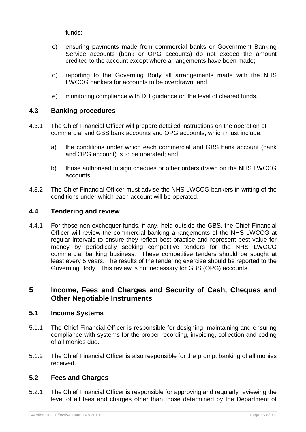funds;

- c) ensuring payments made from commercial banks or Government Banking Service accounts (bank or OPG accounts) do not exceed the amount credited to the account except where arrangements have been made;
- d) reporting to the Governing Body all arrangements made with the NHS LWCCG bankers for accounts to be overdrawn; and
- e) monitoring compliance with DH guidance on the level of cleared funds.

# <span id="page-14-0"></span>**4.3 Banking procedures**

- 4.3.1 The Chief Financial Officer will prepare detailed instructions on the operation of commercial and GBS bank accounts and OPG accounts, which must include:
	- a) the conditions under which each commercial and GBS bank account (bank and OPG account) is to be operated; and
	- b) those authorised to sign cheques or other orders drawn on the NHS LWCCG accounts.
- <span id="page-14-1"></span>4.3.2 The Chief Financial Officer must advise the NHS LWCCG bankers in writing of the conditions under which each account will be operated.

# **4.4 Tendering and review**

4.4.1 For those non-exchequer funds, if any, held outside the GBS, the Chief Financial Officer will review the commercial banking arrangements of the NHS LWCCG at regular intervals to ensure they reflect best practice and represent best value for money by periodically seeking competitive tenders for the NHS LWCCG commercial banking business. These competitive tenders should be sought at least every 5 years. The results of the tendering exercise should be reported to the Governing Body. This review is not necessary for GBS (OPG) accounts.

# <span id="page-14-3"></span><span id="page-14-2"></span>**5 Income, Fees and Charges and Security of Cash, Cheques and Other Negotiable Instruments**

# **5.1 Income Systems**

- 5.1.1 The Chief Financial Officer is responsible for designing, maintaining and ensuring compliance with systems for the proper recording, invoicing, collection and coding of all monies due.
- <span id="page-14-4"></span>5.1.2 The Chief Financial Officer is also responsible for the prompt banking of all monies received.

# **5.2 Fees and Charges**

5.2.1 The Chief Financial Officer is responsible for approving and regularly reviewing the level of all fees and charges other than those determined by the Department of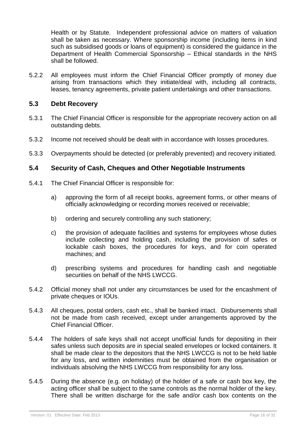<span id="page-15-0"></span>Health or by Statute. Independent professional advice on matters of valuation shall be taken as necessary. Where sponsorship income (including items in kind such as subsidised goods or loans of equipment) is considered the guidance in the Department of Health Commercial Sponsorship – Ethical standards in the NHS shall be followed.

5.2.2 All employees must inform the Chief Financial Officer promptly of money due arising from transactions which they initiate/deal with, including all contracts, leases, tenancy agreements, private patient undertakings and other transactions.

# **5.3 Debt Recovery**

- 5.3.1 The Chief Financial Officer is responsible for the appropriate recovery action on all outstanding debts.
- 5.3.2 Income not received should be dealt with in accordance with losses procedures.
- <span id="page-15-1"></span>5.3.3 Overpayments should be detected (or preferably prevented) and recovery initiated.

# **5.4 Security of Cash, Cheques and Other Negotiable Instruments**

- 5.4.1 The Chief Financial Officer is responsible for:
	- a) approving the form of all receipt books, agreement forms, or other means of officially acknowledging or recording monies received or receivable;
	- b) ordering and securely controlling any such stationery;
	- c) the provision of adequate facilities and systems for employees whose duties include collecting and holding cash, including the provision of safes or lockable cash boxes, the procedures for keys, and for coin operated machines; and
	- d) prescribing systems and procedures for handling cash and negotiable securities on behalf of the NHS LWCCG.
- 5.4.2 Official money shall not under any circumstances be used for the encashment of private cheques or IOUs.
- 5.4.3 All cheques, postal orders, cash etc., shall be banked intact. Disbursements shall not be made from cash received, except under arrangements approved by the Chief Financial Officer.
- 5.4.4 The holders of safe keys shall not accept unofficial funds for depositing in their safes unless such deposits are in special sealed envelopes or locked containers. It shall be made clear to the depositors that the NHS LWCCG is not to be held liable for any loss, and written indemnities must be obtained from the organisation or individuals absolving the NHS LWCCG from responsibility for any loss.
- 5.4.5 During the absence (e.g. on holiday) of the holder of a safe or cash box key, the acting officer shall be subject to the same controls as the normal holder of the key. There shall be written discharge for the safe and/or cash box contents on the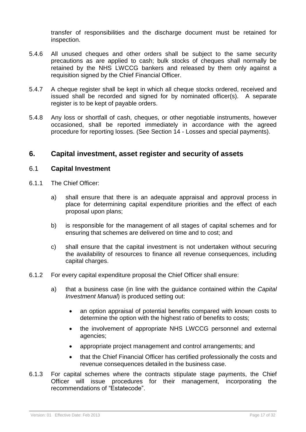transfer of responsibilities and the discharge document must be retained for inspection.

- 5.4.6 All unused cheques and other orders shall be subject to the same security precautions as are applied to cash; bulk stocks of cheques shall normally be retained by the NHS LWCCG bankers and released by them only against a requisition signed by the Chief Financial Officer.
- 5.4.7 A cheque register shall be kept in which all cheque stocks ordered, received and issued shall be recorded and signed for by nominated officer(s). A separate register is to be kept of payable orders.
- 5.4.8 Any loss or shortfall of cash, cheques, or other negotiable instruments, however occasioned, shall be reported immediately in accordance with the agreed procedure for reporting losses. (See Section 14 - Losses and special payments).

# <span id="page-16-1"></span><span id="page-16-0"></span>**6. Capital investment, asset register and security of assets**

#### 6.1 **Capital Investment**

- 6.1.1 The Chief Officer:
	- a) shall ensure that there is an adequate appraisal and approval process in place for determining capital expenditure priorities and the effect of each proposal upon plans;
	- b) is responsible for the management of all stages of capital schemes and for ensuring that schemes are delivered on time and to cost; and
	- c) shall ensure that the capital investment is not undertaken without securing the availability of resources to finance all revenue consequences, including capital charges.
- 6.1.2 For every capital expenditure proposal the Chief Officer shall ensure:
	- a) that a business case (in line with the guidance contained within the *Capital Investment Manual*) is produced setting out:
		- an option appraisal of potential benefits compared with known costs to determine the option with the highest ratio of benefits to costs;
		- the involvement of appropriate NHS LWCCG personnel and external agencies;
		- appropriate project management and control arrangements; and
		- that the Chief Financial Officer has certified professionally the costs and revenue consequences detailed in the business case.
- 6.1.3 For capital schemes where the contracts stipulate stage payments, the Chief Officer will issue procedures for their management, incorporating the recommendations of "Estatecode".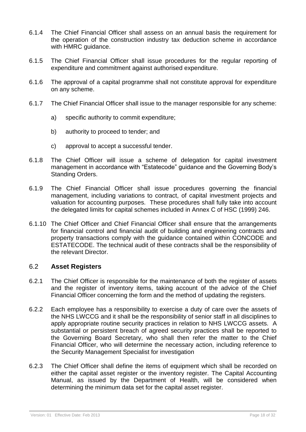- 6.1.4 The Chief Financial Officer shall assess on an annual basis the requirement for the operation of the construction industry tax deduction scheme in accordance with HMRC guidance.
- 6.1.5 The Chief Financial Officer shall issue procedures for the regular reporting of expenditure and commitment against authorised expenditure.
- 6.1.6 The approval of a capital programme shall not constitute approval for expenditure on any scheme.
- 6.1.7 The Chief Financial Officer shall issue to the manager responsible for any scheme:
	- a) specific authority to commit expenditure;
	- b) authority to proceed to tender; and
	- c) approval to accept a successful tender.
- 6.1.8 The Chief Officer will issue a scheme of delegation for capital investment management in accordance with "Estatecode" guidance and the Governing Body's Standing Orders.
- 6.1.9 The Chief Financial Officer shall issue procedures governing the financial management, including variations to contract, of capital investment projects and valuation for accounting purposes. These procedures shall fully take into account the delegated limits for capital schemes included in Annex C of HSC (1999) 246.
- 6.1.10 The Chief Officer and Chief Financial Officer shall ensure that the arrangements for financial control and financial audit of building and engineering contracts and property transactions comply with the guidance contained within CONCODE and ESTATECODE. The technical audit of these contracts shall be the responsibility of the relevant Director.

#### <span id="page-17-0"></span>6.2 **Asset Registers**

- 6.2.1 The Chief Officer is responsible for the maintenance of both the register of assets and the register of inventory items, taking account of the advice of the Chief Financial Officer concerning the form and the method of updating the registers.
- 6.2.2 Each employee has a responsibility to exercise a duty of care over the assets of the NHS LWCCG and it shall be the responsibility of senior staff in all disciplines to apply appropriate routine security practices in relation to NHS LWCCG assets. A substantial or persistent breach of agreed security practices shall be reported to the Governing Board Secretary, who shall then refer the matter to the Chief Financial Officer, who will determine the necessary action, including reference to the Security Management Specialist for investigation
- 6.2.3 The Chief Officer shall define the items of equipment which shall be recorded on either the capital asset register or the inventory register. The Capital Accounting Manual, as issued by the Department of Health, will be considered when determining the minimum data set for the capital asset register.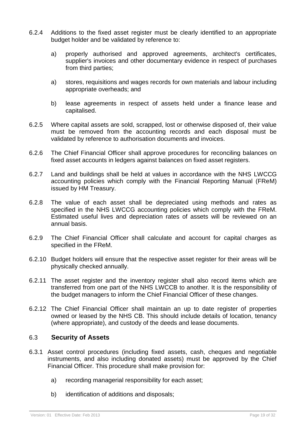- 6.2.4 Additions to the fixed asset register must be clearly identified to an appropriate budget holder and be validated by reference to:
	- a) properly authorised and approved agreements, architect's certificates, supplier's invoices and other documentary evidence in respect of purchases from third parties;
	- a) stores, requisitions and wages records for own materials and labour including appropriate overheads; and
	- b) lease agreements in respect of assets held under a finance lease and capitalised.
- 6.2.5 Where capital assets are sold, scrapped, lost or otherwise disposed of, their value must be removed from the accounting records and each disposal must be validated by reference to authorisation documents and invoices.
- 6.2.6 The Chief Financial Officer shall approve procedures for reconciling balances on fixed asset accounts in ledgers against balances on fixed asset registers.
- 6.2.7 Land and buildings shall be held at values in accordance with the NHS LWCCG accounting policies which comply with the Financial Reporting Manual (FReM) issued by HM Treasury.
- 6.2.8 The value of each asset shall be depreciated using methods and rates as specified in the NHS LWCCG accounting policies which comply with the FReM. Estimated useful lives and depreciation rates of assets will be reviewed on an annual basis.
- 6.2.9 The Chief Financial Officer shall calculate and account for capital charges as specified in the FReM.
- 6.2.10 Budget holders will ensure that the respective asset register for their areas will be physically checked annually.
- 6.2.11 The asset register and the inventory register shall also record items which are transferred from one part of the NHS LWCCB to another. It is the responsibility of the budget managers to inform the Chief Financial Officer of these changes.
- <span id="page-18-0"></span>6.2.12 The Chief Financial Officer shall maintain an up to date register of properties owned or leased by the NHS CB. This should include details of location, tenancy (where appropriate), and custody of the deeds and lease documents.

# 6.3 **Security of Assets**

- 6.3.1 Asset control procedures (including fixed assets, cash, cheques and negotiable instruments, and also including donated assets) must be approved by the Chief Financial Officer. This procedure shall make provision for:
	- a) recording managerial responsibility for each asset;
	- b) identification of additions and disposals;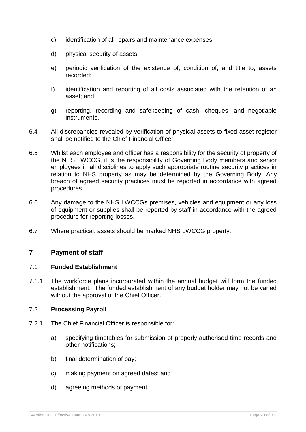- c) identification of all repairs and maintenance expenses;
- d) physical security of assets;
- e) periodic verification of the existence of, condition of, and title to, assets recorded;
- f) identification and reporting of all costs associated with the retention of an asset; and
- g) reporting, recording and safekeeping of cash, cheques, and negotiable instruments.
- 6.4 All discrepancies revealed by verification of physical assets to fixed asset register shall be notified to the Chief Financial Officer.
- 6.5 Whilst each employee and officer has a responsibility for the security of property of the NHS LWCCG, it is the responsibility of Governing Body members and senior employees in all disciplines to apply such appropriate routine security practices in relation to NHS property as may be determined by the Governing Body. Any breach of agreed security practices must be reported in accordance with agreed procedures.
- <span id="page-19-0"></span>6.6 Any damage to the NHS LWCCGs premises, vehicles and equipment or any loss of equipment or supplies shall be reported by staff in accordance with the agreed procedure for reporting losses.
- 6.7 Where practical, assets should be marked NHS LWCCG property.

# <span id="page-19-1"></span>**7 Payment of staff**

#### 7.1 **Funded Establishment**

<span id="page-19-2"></span>7.1.1 The workforce plans incorporated within the annual budget will form the funded establishment. The funded establishment of any budget holder may not be varied without the approval of the Chief Officer.

#### 7.2 **Processing Payroll**

- 7.2.1 The Chief Financial Officer is responsible for:
	- a) specifying timetables for submission of properly authorised time records and other notifications;
	- b) final determination of pay;
	- c) making payment on agreed dates; and
	- d) agreeing methods of payment.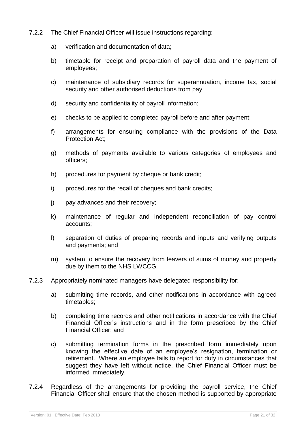- 7.2.2 The Chief Financial Officer will issue instructions regarding:
	- a) verification and documentation of data;
	- b) timetable for receipt and preparation of payroll data and the payment of employees;
	- c) maintenance of subsidiary records for superannuation, income tax, social security and other authorised deductions from pay;
	- d) security and confidentiality of payroll information;
	- e) checks to be applied to completed payroll before and after payment;
	- f) arrangements for ensuring compliance with the provisions of the Data Protection Act;
	- g) methods of payments available to various categories of employees and officers;
	- h) procedures for payment by cheque or bank credit:
	- i) procedures for the recall of cheques and bank credits;
	- j) pay advances and their recovery;
	- k) maintenance of regular and independent reconciliation of pay control accounts;
	- l) separation of duties of preparing records and inputs and verifying outputs and payments; and
	- m) system to ensure the recovery from leavers of sums of money and property due by them to the NHS LWCCG.
- 7.2.3 Appropriately nominated managers have delegated responsibility for:
	- a) submitting time records, and other notifications in accordance with agreed timetables;
	- b) completing time records and other notifications in accordance with the Chief Financial Officer's instructions and in the form prescribed by the Chief Financial Officer; and
	- c) submitting termination forms in the prescribed form immediately upon knowing the effective date of an employee's resignation, termination or retirement. Where an employee fails to report for duty in circumstances that suggest they have left without notice, the Chief Financial Officer must be informed immediately.
- 7.2.4 Regardless of the arrangements for providing the payroll service, the Chief Financial Officer shall ensure that the chosen method is supported by appropriate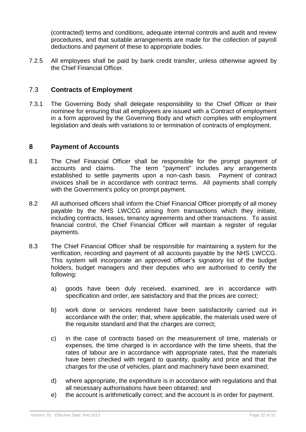<span id="page-21-1"></span><span id="page-21-0"></span>(contracted) terms and conditions, adequate internal controls and audit and review procedures, and that suitable arrangements are made for the collection of payroll deductions and payment of these to appropriate bodies.

7.2.5 All employees shall be paid by bank credit transfer, unless otherwise agreed by the Chief Financial Officer.

# 7.3 **Contracts of Employment**

7.3.1 The Governing Body shall delegate responsibility to the Chief Officer or their nominee for ensuring that all employees are issued with a Contract of employment in a form approved by the Governing Body and which complies with employment legislation and deals with variations to or termination of contracts of employment.

#### **8 Payment of Accounts**

- 8.1 The Chief Financial Officer shall be responsible for the prompt payment of accounts and claims. The term "payment" includes any arrangements established to settle payments upon a non-cash basis. Payment of contract invoices shall be in accordance with contract terms. All payments shall comply with the Government's policy on prompt payment.
- 8.2 All authorised officers shall inform the Chief Financial Officer promptly of all money payable by the NHS LWCCG arising from transactions which they initiate, including contracts, leases, tenancy agreements and other transactions. To assist financial control, the Chief Financial Officer will maintain a register of regular payments.
- 8.3 The Chief Financial Officer shall be responsible for maintaining a system for the verification, recording and payment of all accounts payable by the NHS LWCCG. This system will incorporate an approved officer's signatory list of the budget holders, budget managers and their deputies who are authorised to certify the following:
	- a) goods have been duly received, examined, are in accordance with specification and order, are satisfactory and that the prices are correct;
	- b) work done or services rendered have been satisfactorily carried out in accordance with the order; that, where applicable, the materials used were of the requisite standard and that the charges are correct;
	- c) in the case of contracts based on the measurement of time, materials or expenses, the time charged is in accordance with the time sheets, that the rates of labour are in accordance with appropriate rates, that the materials have been checked with regard to quantity, quality and price and that the charges for the use of vehicles, plant and machinery have been examined;
	- d) where appropriate, the expenditure is in accordance with regulations and that all necessary authorisations have been obtained; and
	- e) the account is arithmetically correct; and the account is in order for payment.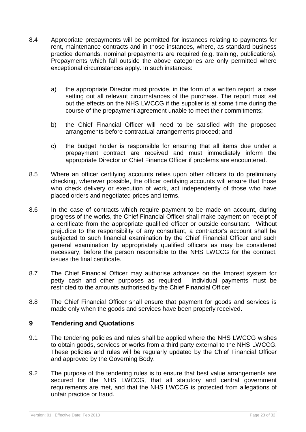- 8.4 Appropriate prepayments will be permitted for instances relating to payments for rent, maintenance contracts and in those instances, where, as standard business practice demands, nominal prepayments are required (e.g. training, publications). Prepayments which fall outside the above categories are only permitted where exceptional circumstances apply. In such instances:
	- a) the appropriate Director must provide, in the form of a written report, a case setting out all relevant circumstances of the purchase. The report must set out the effects on the NHS LWCCG if the supplier is at some time during the course of the prepayment agreement unable to meet their commitments;
	- b) the Chief Financial Officer will need to be satisfied with the proposed arrangements before contractual arrangements proceed; and
	- c) the budget holder is responsible for ensuring that all items due under a prepayment contract are received and must immediately inform the appropriate Director or Chief Finance Officer if problems are encountered.
- 8.5 Where an officer certifying accounts relies upon other officers to do preliminary checking, wherever possible, the officer certifying accounts will ensure that those who check delivery or execution of work, act independently of those who have placed orders and negotiated prices and terms.
- 8.6 In the case of contracts which require payment to be made on account, during progress of the works, the Chief Financial Officer shall make payment on receipt of a certificate from the appropriate qualified officer or outside consultant. Without prejudice to the responsibility of any consultant, a contractor's account shall be subjected to such financial examination by the Chief Financial Officer and such general examination by appropriately qualified officers as may be considered necessary, before the person responsible to the NHS LWCCG for the contract, issues the final certificate.
- 8.7 The Chief Financial Officer may authorise advances on the Imprest system for petty cash and other purposes as required. Individual payments must be restricted to the amounts authorised by the Chief Financial Officer.
- <span id="page-22-0"></span>8.8 The Chief Financial Officer shall ensure that payment for goods and services is made only when the goods and services have been properly received.

# **9 Tendering and Quotations**

- 9.1 The tendering policies and rules shall be applied where the NHS LWCCG wishes to obtain goods, services or works from a third party external to the NHS LWCCG. These policies and rules will be regularly updated by the Chief Financial Officer and approved by the Governing Body.
- 9.2 The purpose of the tendering rules is to ensure that best value arrangements are secured for the NHS LWCCG, that all statutory and central government requirements are met, and that the NHS LWCCG is protected from allegations of unfair practice or fraud.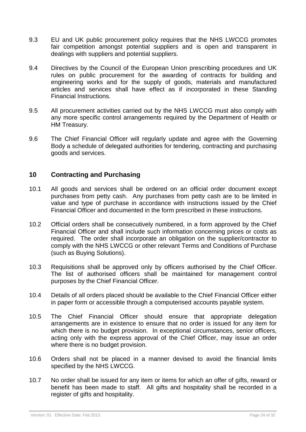- 9.3 EU and UK public procurement policy requires that the NHS LWCCG promotes fair competition amongst potential suppliers and is open and transparent in dealings with suppliers and potential suppliers.
- 9.4 Directives by the Council of the European Union prescribing procedures and UK rules on public procurement for the awarding of contracts for building and engineering works and for the supply of goods, materials and manufactured articles and services shall have effect as if incorporated in these Standing Financial Instructions.
- 9.5 All procurement activities carried out by the NHS LWCCG must also comply with any more specific control arrangements required by the Department of Health or HM Treasury.
- <span id="page-23-0"></span>9.6 The Chief Financial Officer will regularly update and agree with the Governing Body a schedule of delegated authorities for tendering, contracting and purchasing goods and services.

# **10 Contracting and Purchasing**

- 10.1 All goods and services shall be ordered on an official order document except purchases from petty cash. Any purchases from petty cash are to be limited in value and type of purchase in accordance with instructions issued by the Chief Financial Officer and documented in the form prescribed in these instructions.
- 10.2 Official orders shall be consecutively numbered, in a form approved by the Chief Financial Officer and shall include such information concerning prices or costs as required. The order shall incorporate an obligation on the supplier/contractor to comply with the NHS LWCCG or other relevant Terms and Conditions of Purchase (such as Buying Solutions).
- 10.3 Requisitions shall be approved only by officers authorised by the Chief Officer. The list of authorised officers shall be maintained for management control purposes by the Chief Financial Officer.
- 10.4 Details of all orders placed should be available to the Chief Financial Officer either in paper form or accessible through a computerised accounts payable system.
- 10.5 The Chief Financial Officer should ensure that appropriate delegation arrangements are in existence to ensure that no order is issued for any item for which there is no budget provision. In exceptional circumstances, senior officers, acting only with the express approval of the Chief Officer, may issue an order where there is no budget provision.
- 10.6 Orders shall not be placed in a manner devised to avoid the financial limits specified by the NHS LWCCG.
- 10.7 No order shall be issued for any item or items for which an offer of gifts, reward or benefit has been made to staff. All gifts and hospitality shall be recorded in a register of gifts and hospitality.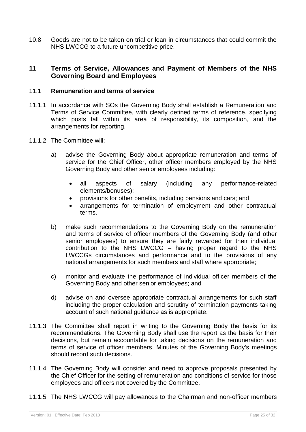<span id="page-24-0"></span>10.8 Goods are not to be taken on trial or loan in circumstances that could commit the NHS LWCCG to a future uncompetitive price.

#### <span id="page-24-1"></span>**11 Terms of Service, Allowances and Payment of Members of the NHS Governing Board and Employees**

#### 11.1 **Remuneration and terms of service**

- 11.1.1 In accordance with SOs the Governing Body shall establish a Remuneration and Terms of Service Committee, with clearly defined terms of reference, specifying which posts fall within its area of responsibility, its composition, and the arrangements for reporting.
- 11.1.2 The Committee will:
	- a) advise the Governing Body about appropriate remuneration and terms of service for the Chief Officer, other officer members employed by the NHS Governing Body and other senior employees including:
		- all aspects of salary (including any performance-related elements/bonuses);
		- provisions for other benefits, including pensions and cars; and
		- arrangements for termination of employment and other contractual terms.
	- b) make such recommendations to the Governing Body on the remuneration and terms of service of officer members of the Governing Body (and other senior employees) to ensure they are fairly rewarded for their individual contribution to the NHS LWCCG – having proper regard to the NHS LWCCGs circumstances and performance and to the provisions of any national arrangements for such members and staff where appropriate;
	- c) monitor and evaluate the performance of individual officer members of the Governing Body and other senior employees; and
	- d) advise on and oversee appropriate contractual arrangements for such staff including the proper calculation and scrutiny of termination payments taking account of such national guidance as is appropriate.
- 11.1.3 The Committee shall report in writing to the Governing Body the basis for its recommendations. The Governing Body shall use the report as the basis for their decisions, but remain accountable for taking decisions on the remuneration and terms of service of officer members. Minutes of the Governing Body's meetings should record such decisions.
- 11.1.4 The Governing Body will consider and need to approve proposals presented by the Chief Officer for the setting of remuneration and conditions of service for those employees and officers not covered by the Committee.
- 11.1.5 The NHS LWCCG will pay allowances to the Chairman and non-officer members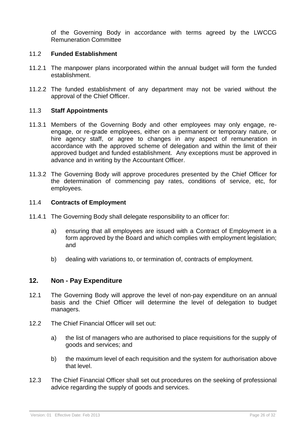<span id="page-25-0"></span>of the Governing Body in accordance with terms agreed by the LWCCG Remuneration Committee

#### 11.2 **Funded Establishment**

- 11.2.1 The manpower plans incorporated within the annual budget will form the funded establishment.
- <span id="page-25-1"></span>11.2.2 The funded establishment of any department may not be varied without the approval of the Chief Officer.

#### 11.3 **Staff Appointments**

- 11.3.1 Members of the Governing Body and other employees may only engage, reengage, or re-grade employees, either on a permanent or temporary nature, or hire agency staff, or agree to changes in any aspect of remuneration in accordance with the approved scheme of delegation and within the limit of their approved budget and funded establishment. Any exceptions must be approved in advance and in writing by the Accountant Officer.
- 11.3.2 The Governing Body will approve procedures presented by the Chief Officer for the determination of commencing pay rates, conditions of service, etc, for employees.

#### 11.4 **Contracts of Employment**

- 11.4.1 The Governing Body shall delegate responsibility to an officer for:
	- a) ensuring that all employees are issued with a Contract of Employment in a form approved by the Board and which complies with employment legislation; and
	- b) dealing with variations to, or termination of, contracts of employment.

#### <span id="page-25-2"></span>**12. Non - Pay Expenditure**

- 12.1 The Governing Body will approve the level of non-pay expenditure on an annual basis and the Chief Officer will determine the level of delegation to budget managers.
- 12.2 The Chief Financial Officer will set out:
	- a) the list of managers who are authorised to place requisitions for the supply of goods and services; and
	- b) the maximum level of each requisition and the system for authorisation above that level.
- <span id="page-25-3"></span>12.3 The Chief Financial Officer shall set out procedures on the seeking of professional advice regarding the supply of goods and services.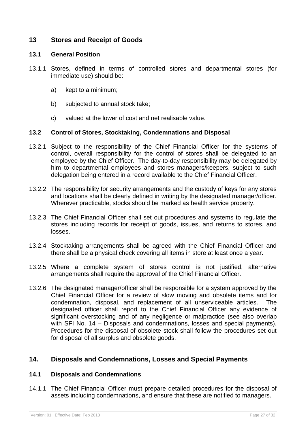# <span id="page-26-0"></span>**13 Stores and Receipt of Goods**

#### **13.1 General Position**

- 13.1.1 Stores, defined in terms of controlled stores and departmental stores (for immediate use) should be:
	- a) kept to a minimum;
	- b) subjected to annual stock take;
	- c) valued at the lower of cost and net realisable value.

#### <span id="page-26-1"></span>**13.2 Control of Stores, Stocktaking, Condemnations and Disposal**

- 13.2.1 Subject to the responsibility of the Chief Financial Officer for the systems of control, overall responsibility for the control of stores shall be delegated to an employee by the Chief Officer. The day-to-day responsibility may be delegated by him to departmental employees and stores managers/keepers, subject to such delegation being entered in a record available to the Chief Financial Officer.
- 13.2.2 The responsibility for security arrangements and the custody of keys for any stores and locations shall be clearly defined in writing by the designated manager/officer. Wherever practicable, stocks should be marked as health service property.
- 13.2.3 The Chief Financial Officer shall set out procedures and systems to regulate the stores including records for receipt of goods, issues, and returns to stores, and losses.
- 13.2.4 Stocktaking arrangements shall be agreed with the Chief Financial Officer and there shall be a physical check covering all items in store at least once a year.
- 13.2.5 Where a complete system of stores control is not justified, alternative arrangements shall require the approval of the Chief Financial Officer.
- 13.2.6 The designated manager/officer shall be responsible for a system approved by the Chief Financial Officer for a review of slow moving and obsolete items and for condemnation, disposal, and replacement of all unserviceable articles. The designated officer shall report to the Chief Financial Officer any evidence of significant overstocking and of any negligence or malpractice (see also overlap with SFI No. 14 – Disposals and condemnations, losses and special payments). Procedures for the disposal of obsolete stock shall follow the procedures set out for disposal of all surplus and obsolete goods.

# <span id="page-26-3"></span><span id="page-26-2"></span>**14. Disposals and Condemnations, Losses and Special Payments**

#### **14.1 Disposals and Condemnations**

14.1.1 The Chief Financial Officer must prepare detailed procedures for the disposal of assets including condemnations, and ensure that these are notified to managers.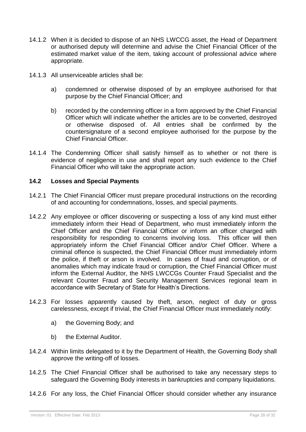- 14.1.2 When it is decided to dispose of an NHS LWCCG asset, the Head of Department or authorised deputy will determine and advise the Chief Financial Officer of the estimated market value of the item, taking account of professional advice where appropriate.
- 14.1.3 All unserviceable articles shall be:
	- a) condemned or otherwise disposed of by an employee authorised for that purpose by the Chief Financial Officer; and
	- b) recorded by the condemning officer in a form approved by the Chief Financial Officer which will indicate whether the articles are to be converted, destroyed or otherwise disposed of. All entries shall be confirmed by the countersignature of a second employee authorised for the purpose by the Chief Financial Officer.
- <span id="page-27-0"></span>14.1.4 The Condemning Officer shall satisfy himself as to whether or not there is evidence of negligence in use and shall report any such evidence to the Chief Financial Officer who will take the appropriate action.

#### **14.2 Losses and Special Payments**

- 14.2.1 The Chief Financial Officer must prepare procedural instructions on the recording of and accounting for condemnations, losses, and special payments.
- 14.2.2 Any employee or officer discovering or suspecting a loss of any kind must either immediately inform their Head of Department, who must immediately inform the Chief Officer and the Chief Financial Officer or inform an officer charged with responsibility for responding to concerns involving loss. This officer will then appropriately inform the Chief Financial Officer and/or Chief Officer. Where a criminal offence is suspected, the Chief Financial Officer must immediately inform the police, if theft or arson is involved. In cases of fraud and corruption, or of anomalies which may indicate fraud or corruption, the Chief Financial Officer must inform the External Auditor, the NHS LWCCGs Counter Fraud Specialist and the relevant Counter Fraud and Security Management Services regional team in accordance with Secretary of State for Health's Directions.
- 14.2.3 For losses apparently caused by theft, arson, neglect of duty or gross carelessness, except if trivial, the Chief Financial Officer must immediately notify:
	- a) the Governing Body; and
	- b) the External Auditor.
- 14.2.4 Within limits delegated to it by the Department of Health, the Governing Body shall approve the writing-off of losses.
- 14.2.5 The Chief Financial Officer shall be authorised to take any necessary steps to safeguard the Governing Body interests in bankruptcies and company liquidations.
- 14.2.6 For any loss, the Chief Financial Officer should consider whether any insurance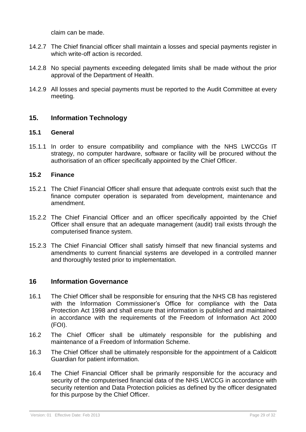claim can be made.

- 14.2.7 The Chief financial officer shall maintain a losses and special payments register in which write-off action is recorded.
- 14.2.8 No special payments exceeding delegated limits shall be made without the prior approval of the Department of Health.
- 14.2.9 All losses and special payments must be reported to the Audit Committee at every meeting.

# <span id="page-28-1"></span><span id="page-28-0"></span>**15. Information Technology**

#### **15.1 General**

<span id="page-28-2"></span>15.1.1 In order to ensure compatibility and compliance with the NHS LWCCGs IT strategy, no computer hardware, software or facility will be procured without the authorisation of an officer specifically appointed by the Chief Officer.

#### **15.2 Finance**

- 15.2.1 The Chief Financial Officer shall ensure that adequate controls exist such that the finance computer operation is separated from development, maintenance and amendment.
- 15.2.2 The Chief Financial Officer and an officer specifically appointed by the Chief Officer shall ensure that an adequate management (audit) trail exists through the computerised finance system.
- <span id="page-28-3"></span>15.2.3 The Chief Financial Officer shall satisfy himself that new financial systems and amendments to current financial systems are developed in a controlled manner and thoroughly tested prior to implementation.

#### **16 Information Governance**

- 16.1 The Chief Officer shall be responsible for ensuring that the NHS CB has registered with the Information Commissioner's Office for compliance with the Data Protection Act 1998 and shall ensure that information is published and maintained in accordance with the requirements of the Freedom of Information Act 2000 (FOI).
- 16.2 The Chief Officer shall be ultimately responsible for the publishing and maintenance of a Freedom of Information Scheme.
- 16.3 The Chief Officer shall be ultimately responsible for the appointment of a Caldicott Guardian for patient information.
- 16.4 The Chief Financial Officer shall be primarily responsible for the accuracy and security of the computerised financial data of the NHS LWCCG in accordance with security retention and Data Protection policies as defined by the officer designated for this purpose by the Chief Officer.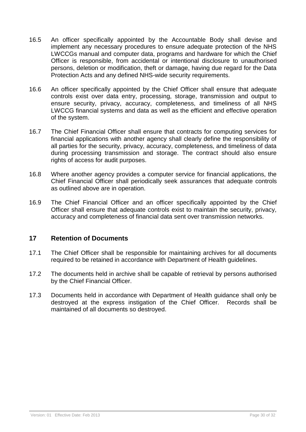- 16.5 An officer specifically appointed by the Accountable Body shall devise and implement any necessary procedures to ensure adequate protection of the NHS LWCCGs manual and computer data, programs and hardware for which the Chief Officer is responsible, from accidental or intentional disclosure to unauthorised persons, deletion or modification, theft or damage, having due regard for the Data Protection Acts and any defined NHS-wide security requirements.
- 16.6 An officer specifically appointed by the Chief Officer shall ensure that adequate controls exist over data entry, processing, storage, transmission and output to ensure security, privacy, accuracy, completeness, and timeliness of all NHS LWCCG financial systems and data as well as the efficient and effective operation of the system.
- 16.7 The Chief Financial Officer shall ensure that contracts for computing services for financial applications with another agency shall clearly define the responsibility of all parties for the security, privacy, accuracy, completeness, and timeliness of data during processing transmission and storage. The contract should also ensure rights of access for audit purposes.
- 16.8 Where another agency provides a computer service for financial applications, the Chief Financial Officer shall periodically seek assurances that adequate controls as outlined above are in operation.
- <span id="page-29-0"></span>16.9 The Chief Financial Officer and an officer specifically appointed by the Chief Officer shall ensure that adequate controls exist to maintain the security, privacy, accuracy and completeness of financial data sent over transmission networks.

# **17 Retention of Documents**

- 17.1 The Chief Officer shall be responsible for maintaining archives for all documents required to be retained in accordance with Department of Health guidelines.
- 17.2 The documents held in archive shall be capable of retrieval by persons authorised by the Chief Financial Officer.
- 17.3 Documents held in accordance with Department of Health guidance shall only be destroyed at the express instigation of the Chief Officer. Records shall be maintained of all documents so destroyed.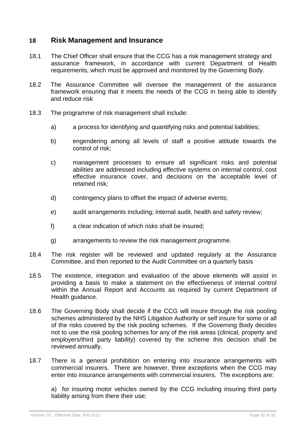# **18 Risk Management and Insurance**

- 18.1 The Chief Officer shall ensure that the CCG has a risk management strategy and assurance framework, in accordance with current Department of Health requirements, which must be approved and monitored by the Governing Body.
- 18.2 The Assurance Committee will oversee the management of the assurance framework ensuring that it meets the needs of the CCG in being able to identify and reduce risk
- 18.3 The programme of risk management shall include:
	- a) a process for identifying and quantifying risks and potential liabilities;
	- b) engendering among all levels of staff a positive attitude towards the control of risk;
	- c) management processes to ensure all significant risks and potential abilities are addressed including effective systems on internal control, cost effective insurance cover, and decisions on the acceptable level of retained risk;
	- d) contingency plans to offset the impact of adverse events;
	- e) audit arrangements including; internal audit, health and safety review;
	- f) a clear indication of which risks shall be insured;
	- g) arrangements to review the risk management programme.
- 18.4 The risk register will be reviewed and updated regularly at the Assurance Committee, and then reported to the Audit Committee on a quarterly basis
- 18.5 The existence, integration and evaluation of the above elements will assist in providing a basis to make a statement on the effectiveness of internal control within the Annual Report and Accounts as required by current Department of Health guidance.
- 18.6 The Governing Body shall decide if the CCG will insure through the risk pooling schemes administered by the NHS Litigation Authority or self insure for some or all of the risks covered by the risk pooling schemes. If the Governing Body decides not to use the risk pooling schemes for any of the risk areas (clinical, property and employers/third party liability) covered by the scheme this decision shall be reviewed annually.
- 18.7 There is a general prohibition on entering into insurance arrangements with commercial insurers. There are however, three exceptions when the CCG may enter into insurance arrangements with commercial insurers. The exceptions are:

a) for insuring motor vehicles owned by the CCG including insuring third party liability arising from there their use;